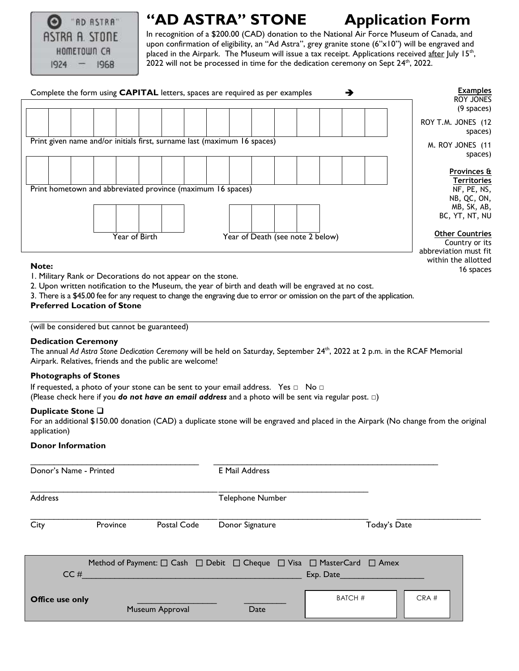

# **"AD ASTRA" STONE Application Form**

In recognition of a \$200.00 (CAD) donation to the National Air Force Museum of Canada, and upon confirmation of eligibility, an "Ad Astra", grey granite stone (6"x10") will be engraved and placed in the Airpark. The Museum will issue a tax receipt. Applications received after July 15<sup>th</sup>,  $2022$  will not be processed in time for the dedication ceremony on Sept  $24<sup>th</sup>$ , 2022.

16 spaces



#### **Note:**

1. Military Rank or Decorations do not appear on the stone.

2. Upon written notification to the Museum, the year of birth and death will be engraved at no cost.

3. There is a \$45.00 fee for any request to change the engraving due to error or omission on the part of the application.

# **Preferred Location of Stone**

(will be considered but cannot be guaranteed)

### **Dedication Ceremony**

The annual Ad Astra Stone Dedication Ceremony will be held on Saturday, September 24<sup>th</sup>, 2022 at 2 p.m. in the RCAF Memorial Airpark. Relatives, friends and the public are welcome!

### **Photographs of Stones**

If requested, a photo of your stone can be sent to your email address. Yes □ No □

(Please check here if you *do not have an email address* and a photo will be sent via regular post. □)

### **Duplicate Stone**

For an additional \$150.00 donation (CAD) a duplicate stone will be engraved and placed in the Airpark (No change from the original application)

# **Donor Information**

| Donor's Name - Printed |          |                 | E Mail Address   |                                                                                                                                    |      |
|------------------------|----------|-----------------|------------------|------------------------------------------------------------------------------------------------------------------------------------|------|
| <b>Address</b>         |          |                 | Telephone Number |                                                                                                                                    |      |
| City                   | Province | Postal Code     | Donor Signature  | Today's Date                                                                                                                       |      |
|                        | CC#      |                 |                  | Method of Payment: $\square$ Cash $\square$ Debit $\square$ Cheque $\square$ Visa $\square$ MasterCard $\square$ Amex<br>Exp. Date |      |
| Office use only        |          | Museum Approval | Date             | <b>BATCH #</b>                                                                                                                     | CRA# |